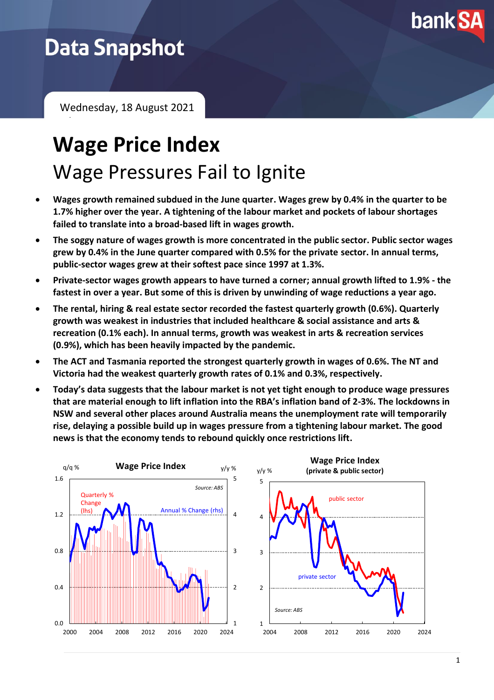

## **Data Snapshot**

February 2021

Wednesday, 18 August 2021

# **Wage Price Index** Wage Pressures Fail to Ignite

- **Wages growth remained subdued in the June quarter. Wages grew by 0.4% in the quarter to be 1.7% higher over the year. A tightening of the labour market and pockets of labour shortages failed to translate into a broad-based lift in wages growth.**
- **The soggy nature of wages growth is more concentrated in the public sector. Public sector wages grew by 0.4% in the June quarter compared with 0.5% for the private sector. In annual terms, public-sector wages grew at their softest pace since 1997 at 1.3%.**
- **Private-sector wages growth appears to have turned a corner; annual growth lifted to 1.9% - the fastest in over a year. But some of this is driven by unwinding of wage reductions a year ago.**
- **The rental, hiring & real estate sector recorded the fastest quarterly growth (0.6%). Quarterly growth was weakest in industries that included healthcare & social assistance and arts & recreation (0.1% each). In annual terms, growth was weakest in arts & recreation services (0.9%), which has been heavily impacted by the pandemic.**
- **The ACT and Tasmania reported the strongest quarterly growth in wages of 0.6%. The NT and Victoria had the weakest quarterly growth rates of 0.1% and 0.3%, respectively.**
- **Today's data suggests that the labour market is not yet tight enough to produce wage pressures that are material enough to lift inflation into the RBA's inflation band of 2-3%. The lockdowns in NSW and several other places around Australia means the unemployment rate will temporarily rise, delaying a possible build up in wages pressure from a tightening labour market. The good news is that the economy tends to rebound quickly once restrictions lift.**

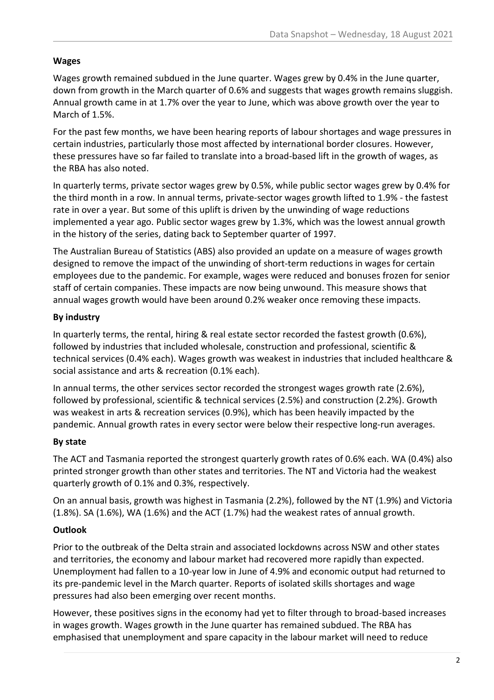#### **Wages**

Wages growth remained subdued in the June quarter. Wages grew by 0.4% in the June quarter, down from growth in the March quarter of 0.6% and suggests that wages growth remains sluggish. Annual growth came in at 1.7% over the year to June, which was above growth over the year to March of 1.5%.

For the past few months, we have been hearing reports of labour shortages and wage pressures in certain industries, particularly those most affected by international border closures. However, these pressures have so far failed to translate into a broad-based lift in the growth of wages, as the RBA has also noted.

In quarterly terms, private sector wages grew by 0.5%, while public sector wages grew by 0.4% for the third month in a row. In annual terms, private-sector wages growth lifted to 1.9% - the fastest rate in over a year. But some of this uplift is driven by the unwinding of wage reductions implemented a year ago. Public sector wages grew by 1.3%, which was the lowest annual growth in the history of the series, dating back to September quarter of 1997.

The Australian Bureau of Statistics (ABS) also provided an update on a measure of wages growth designed to remove the impact of the unwinding of short-term reductions in wages for certain employees due to the pandemic. For example, wages were reduced and bonuses frozen for senior staff of certain companies. These impacts are now being unwound. This measure shows that annual wages growth would have been around 0.2% weaker once removing these impacts.

### **By industry**

In quarterly terms, the rental, hiring & real estate sector recorded the fastest growth (0.6%), followed by industries that included wholesale, construction and professional, scientific & technical services (0.4% each). Wages growth was weakest in industries that included healthcare & social assistance and arts & recreation (0.1% each).

In annual terms, the other services sector recorded the strongest wages growth rate (2.6%), followed by professional, scientific & technical services (2.5%) and construction (2.2%). Growth was weakest in arts & recreation services (0.9%), which has been heavily impacted by the pandemic. Annual growth rates in every sector were below their respective long-run averages.

### **By state**

The ACT and Tasmania reported the strongest quarterly growth rates of 0.6% each. WA (0.4%) also printed stronger growth than other states and territories. The NT and Victoria had the weakest quarterly growth of 0.1% and 0.3%, respectively.

On an annual basis, growth was highest in Tasmania (2.2%), followed by the NT (1.9%) and Victoria (1.8%). SA (1.6%), WA (1.6%) and the ACT (1.7%) had the weakest rates of annual growth.

### **Outlook**

Prior to the outbreak of the Delta strain and associated lockdowns across NSW and other states and territories, the economy and labour market had recovered more rapidly than expected. Unemployment had fallen to a 10-year low in June of 4.9% and economic output had returned to its pre-pandemic level in the March quarter. Reports of isolated skills shortages and wage pressures had also been emerging over recent months.

However, these positives signs in the economy had yet to filter through to broad-based increases in wages growth. Wages growth in the June quarter has remained subdued. The RBA has emphasised that unemployment and spare capacity in the labour market will need to reduce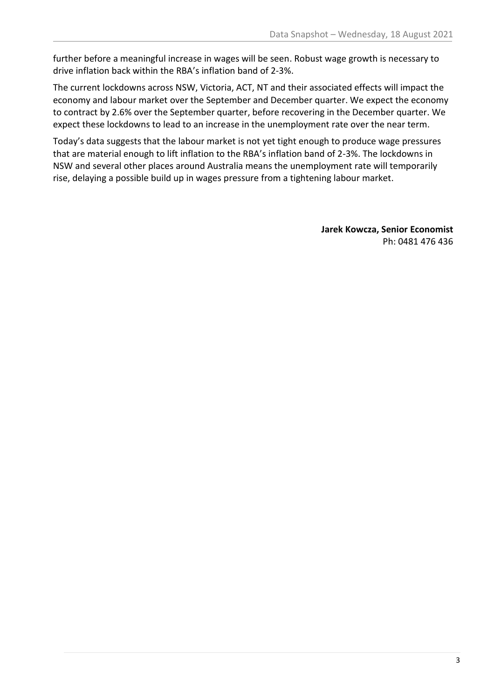further before a meaningful increase in wages will be seen. Robust wage growth is necessary to drive inflation back within the RBA's inflation band of 2-3%.

The current lockdowns across NSW, Victoria, ACT, NT and their associated effects will impact the economy and labour market over the September and December quarter. We expect the economy to contract by 2.6% over the September quarter, before recovering in the December quarter. We expect these lockdowns to lead to an increase in the unemployment rate over the near term.

Today's data suggests that the labour market is not yet tight enough to produce wage pressures that are material enough to lift inflation to the RBA's inflation band of 2-3%. The lockdowns in NSW and several other places around Australia means the unemployment rate will temporarily rise, delaying a possible build up in wages pressure from a tightening labour market.

> **Jarek Kowcza, Senior Economist** Ph: 0481 476 436